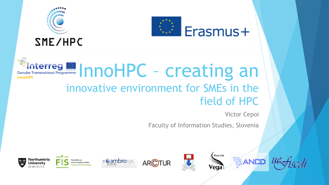



# **Example Transnational Programme** InnoHPC - creating an innovative environment for SMEs in the field of HPC

Victor Cepoi

Faculty of Information Studies, Slovenia



**eg** 









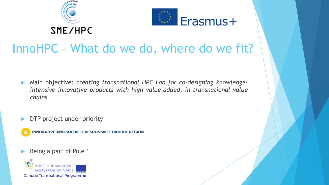



## InnoHPC – What do we do, where do we fit?

- Main objective: *creating transnational HPC Lab for co-designing knowledgeintensive innovative products with high value-added, in transnational value chains*
- DTP project under priority

**INNOVATIVE AND SOCIALLY RESPONSIBLE DANUBE REGION** 

Being a part of Pole 1

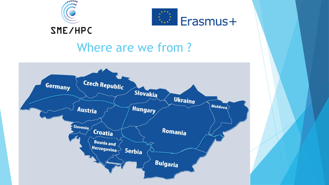



## Where are we from ?

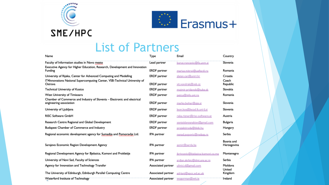



#### **SME/HPC**

#### List of Partners

| Name                                                                                                | Type                | Email                             | Country                   |
|-----------------------------------------------------------------------------------------------------|---------------------|-----------------------------------|---------------------------|
| Faculty of Information studies in Novo mesto                                                        | Lead partner        | borut.roncevic@fis.unm.si         | Slovenia                  |
| Executive Agency for Higher Education, Research, Development and Innovation<br>Funding              | <b>ERDF</b> partner | marius.mitroi@uefiscdi.ro         | Romania                   |
| University of Rijeka, Center for Advanced Computing and Modelling                                   | <b>ERDF</b> partner | zlatan.car@uniri.hr               | Croatia                   |
| IT4Innovations National Supercomputing Center, VSB-Technical University of<br>Ostrava               | <b>ERDF</b> partner | vit.vondrak@vsb.cz                | Czech<br>Republic         |
| Technical University of Kosice                                                                      | <b>ERDF</b> partner | moimir.pridavok@tuke.sk           | Slovakia                  |
| West University of Timisoara                                                                        | <b>ERDF</b> partner | petcu@info.uvt.ro                 | Romania                   |
| Chamber of Commerce and Industry of Slovenia - Electronic and electrical<br>engineering association | <b>ERDF</b> partner | marko.bohar@ezs.si                | Slovenia                  |
| University of Ljubljana                                                                             | <b>ERDF</b> partner | leon.kos@lecad.fs.uni-lj.si       | Slovenia                  |
| <b>RISC Software GmbH</b>                                                                           | <b>ERDF</b> partner | reka.rizner@risc-software.at      | Austria                   |
| Research Centre Regional and Global Development                                                     | <b>ERDF</b> partner | yantsislavyanakiev@gmail.com      | Bulgaria                  |
| Budapest Chamber of Commerce and Industry                                                           | <b>ERDF</b> partner | projektiroda@bkik.hu              | Hungary                   |
| Regional economic development agency for Sumadija and Pomoravlje Ltd.                               | IPA partner         | nenad.popovic@redasp.rs           | Serbia                    |
| Sarajevo Economic Region Development Agency                                                         | IPA partner         | asmir@serda.ba                    | Bosnia and<br>Herzegovina |
| Regional Development Agency for Bjelasica, Komovi and Prokletije                                    | IPA partner         | jkrivcevic@bielasica-komovi.co.me | Montenegro                |
| University of Novi Sad, Faculty of Sciences                                                         | IPA partner         | srdian.skrbic@dmi.uns.ac.rs       | Serbia                    |
| Agency for Innovation and Technology Transfer                                                       | Associated partner  | ulinici.d@gmail.com               | Moldova                   |
| The University of Edinburgh, Edinburgh Parallel Computing Centre                                    | Associated partner  | adriani@epcc.ed.ac.uk             | United<br>Kingdom         |
| Waterford Institute of Technology                                                                   | Associated partner  | wogorman@wit:ie                   | tretand                   |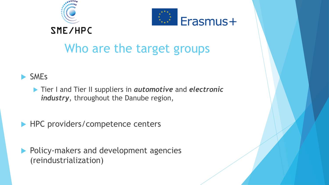



# Who are the target groups

#### SMEs

 Tier I and Tier II suppliers in *automotive* and *electronic industry*, throughout the Danube region,

▶ HPC providers/competence centers

Policy-makers and development agencies (reindustrialization)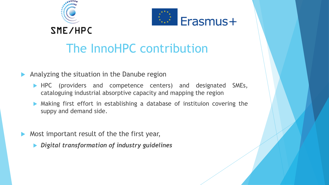



## The InnoHPC contribution

Analyzing the situation in the Danube region

- **HPC** (providers and competence centers) and designated SMEs, cataloguing industrial absorptive capacity and mapping the region
- Making first effort in establishing a database of instituion covering the suppy and demand side.
- Most important result of the the first year,
	- *Digital transformation of industry guidelines*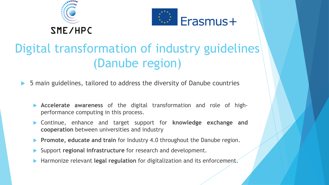



## Digital transformation of industry guidelines (Danube region)

- 5 main guidelines, tailored to address the diversity of Danube countries
	- **Accelerate awareness** of the digital transformation and role of highperformance computing in this process.
	- Continue, enhance and target support for **knowledge exchange and cooperation** between universities and industry
	- **Promote, educate and train** for Industry 4.0 throughout the Danube region.
	- Support **regional infrastructure** for research and development.
	- Harmonize relevant **legal regulation** for digitalization and its enforcement.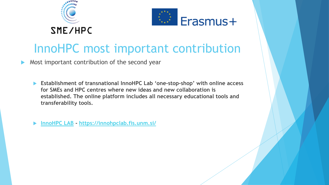



## InnoHPC most important contribution

Most important contribution of the second year

 **Establishment of transnational InnoHPC Lab 'one-stop-shop' with online access for SMEs and HPC centres where new ideas and new collaboration is established. The online platform includes all necessary educational tools and transferability tools.**

**[InnoHPC LAB](https://innohpclab.fis.unm.si/) - <https://innohpclab.fis.unm.si/>**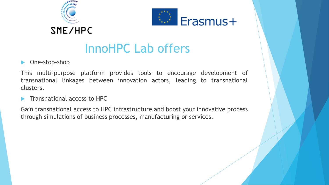



## InnoHPC Lab offers

#### One-stop-shop

This multi-purpose platform provides tools to encourage development of transnational linkages between innovation actors, leading to transnational clusters.

Transnational access to HPC

Gain transnational access to HPC infrastructure and boost your innovative process through simulations of business processes, manufacturing or services.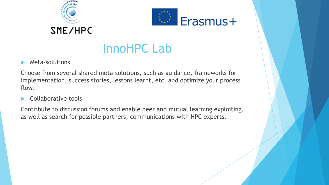



## InnoHPC Lab

Meta-solutions

Choose from several shared meta-solutions, such as guidance, frameworks for implementation, success stories, lessons learnt, etc. and optimize your process flow.

Collaborative tools

Contribute to discussion forums and enable peer and mutual learning exploiting, as well as search for possible partners, communications with HPC experts.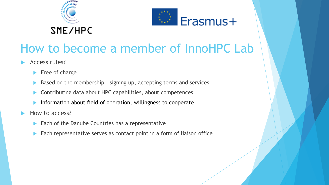



## How to become a member of InnoHPC Lab

- Access rules?
	- $\blacktriangleright$  Free of charge
	- Based on the membership signing up, accepting terms and services
	- Contributing data about HPC capabilities, about competences
	- Information about field of operation, willingness to cooperate
- How to access?
	- $\blacktriangleright$  Each of the Danube Countries has a representative
	- ▶ Each representative serves as contact point in a form of liaison office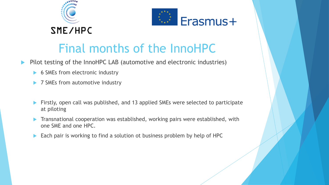



## Final months of the InnoHPC

- Pilot testing of the InnoHPC LAB (automotive and electronic industries)
	- 6 SMEs from electronic industry
	- 7 SMEs from automotive industry
	- **Firstly, open call was published, and 13 applied SMEs were selected to participate** at piloting
	- **Transnational cooperation was established, working pairs were established, with** one SME and one HPC.
	- Each pair is working to find a solution ot business problem by help of HPC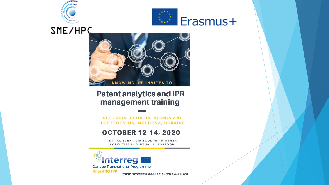



**SME/HPC** 



#### **Patent analytics and IPR** management training

SLOVAKIA, CROATIA, BOSNIA AND HERZEGOVINA, MOLDOVA, UKRAINE

#### **OCTOBER 12-14, 2020**

INITIAL EVENT VIA ZOOM WITH OTHER **ACTIVITIES IN VIRTUAL CLASSROOM** 



WWW.INTERREG-DANUBE.EU/KNOWING-IPR